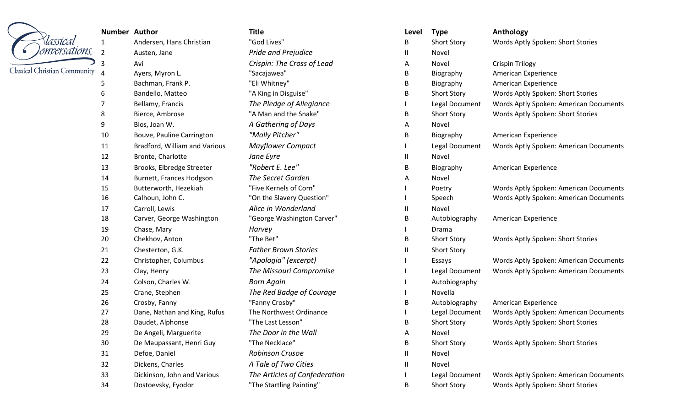|                                      | <b>Number Author</b> |                               | <b>Title</b>                  | Level         | <b>Type</b>        | Anthology                              |
|--------------------------------------|----------------------|-------------------------------|-------------------------------|---------------|--------------------|----------------------------------------|
| Tassical                             | 1                    | Andersen, Hans Christian      | "God Lives"                   | B             | <b>Short Story</b> | Words Aptly Spoken: Short Stories      |
| <sup>I</sup> onversations,           | $\overline{2}$       | Austen, Jane                  | Pride and Prejudice           | $\mathbf{II}$ | Novel              |                                        |
|                                      | 3                    | Avi                           | Crispin: The Cross of Lead    | A             | Novel              | <b>Crispin Trilogy</b>                 |
| <b>Classical Christian Community</b> |                      | Ayers, Myron L.               | "Sacajawea"                   | B             | Biography          | American Experience                    |
|                                      | 5                    | Bachman, Frank P.             | "Eli Whitney"                 | В             | Biography          | American Experience                    |
|                                      | 6                    | Bandello, Matteo              | "A King in Disguise"          | В             | <b>Short Story</b> | Words Aptly Spoken: Short Stories      |
|                                      |                      | Bellamy, Francis              | The Pledge of Allegiance      |               | Legal Document     | Words Aptly Spoken: American Documents |
|                                      | 8                    | Bierce, Ambrose               | "A Man and the Snake"         | B             | <b>Short Story</b> | Words Aptly Spoken: Short Stories      |
|                                      | 9                    | Blos, Joan W.                 | A Gathering of Days           | Α             | Novel              |                                        |
|                                      | 10                   | Bouve, Pauline Carrington     | "Molly Pitcher"               | B             | Biography          | American Experience                    |
|                                      | 11                   | Bradford, William and Various | <b>Mayflower Compact</b>      |               | Legal Document     | Words Aptly Spoken: American Documents |
|                                      | 12                   | Bronte, Charlotte             | Jane Eyre                     | Ш             | Novel              |                                        |
|                                      | 13                   | Brooks, Elbredge Streeter     | "Robert E. Lee"               | B             | Biography          | American Experience                    |
|                                      | 14                   | Burnett, Frances Hodgson      | The Secret Garden             | A             | Novel              |                                        |
|                                      | 15                   | Butterworth, Hezekiah         | "Five Kernels of Corn"        |               | Poetry             | Words Aptly Spoken: American Documents |
|                                      | 16                   | Calhoun, John C.              | "On the Slavery Question"     |               | Speech             | Words Aptly Spoken: American Documents |
|                                      | 17                   | Carroll, Lewis                | Alice in Wonderland           | Ш             | Novel              |                                        |
|                                      | 18                   | Carver, George Washington     | "George Washington Carver"    | B             | Autobiography      | American Experience                    |
|                                      | 19                   | Chase, Mary                   | Harvey                        |               | Drama              |                                        |
|                                      | 20                   | Chekhov, Anton                | "The Bet"                     | B             | <b>Short Story</b> | Words Aptly Spoken: Short Stories      |
|                                      | 21                   | Chesterton, G.K.              | <b>Father Brown Stories</b>   | H.            | <b>Short Story</b> |                                        |
|                                      | 22                   | Christopher, Columbus         | "Apologia" (excerpt)          |               | Essays             | Words Aptly Spoken: American Documents |
|                                      | 23                   | Clay, Henry                   | The Missouri Compromise       |               | Legal Document     | Words Aptly Spoken: American Documents |
|                                      | 24                   | Colson, Charles W.            | <b>Born Again</b>             |               | Autobiography      |                                        |
|                                      | 25                   | Crane, Stephen                | The Red Badge of Courage      |               | Novella            |                                        |
|                                      | 26                   | Crosby, Fanny                 | "Fanny Crosby"                | В             | Autobiography      | American Experience                    |
|                                      | 27                   | Dane, Nathan and King, Rufus  | The Northwest Ordinance       |               | Legal Document     | Words Aptly Spoken: American Documents |
|                                      | 28                   | Daudet, Alphonse              | "The Last Lesson"             | D             | Short Story        | Words Aptly Spoken: Short Stories      |
|                                      | 29                   | De Angeli, Marguerite         | The Door in the Wall          | A             | Novel              |                                        |
|                                      | 30                   | De Maupassant, Henri Guy      | "The Necklace"                | B             | <b>Short Story</b> | Words Aptly Spoken: Short Stories      |
|                                      | 31                   | Defoe, Daniel                 | Robinson Crusoe               | Ш.            | Novel              |                                        |
|                                      | 32                   | Dickens, Charles              | A Tale of Two Cities          | H.            | Novel              |                                        |
|                                      | 33                   | Dickinson, John and Various   | The Articles of Confederation |               | Legal Document     | Words Aptly Spoken: American Documents |
|                                      | 34                   | Dostoevsky, Fyodor            | "The Startling Painting"      | B             | <b>Short Story</b> | Words Aptly Spoken: Short Stories      |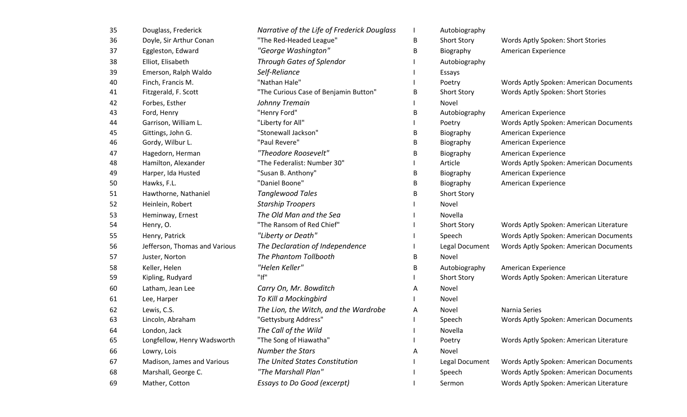| 35 | Douglass, Frederick           | Narrative of the Life of Frederick Douglass |   | Autobiography      |                                         |
|----|-------------------------------|---------------------------------------------|---|--------------------|-----------------------------------------|
| 36 | Doyle, Sir Arthur Conan       | "The Red-Headed League"                     | В | <b>Short Story</b> | Words Aptly Spoken: Short Stories       |
| 37 | Eggleston, Edward             | "George Washington"                         | B | Biography          | American Experience                     |
| 38 | Elliot, Elisabeth             | <b>Through Gates of Splendor</b>            |   | Autobiography      |                                         |
| 39 | Emerson, Ralph Waldo          | Self-Reliance                               |   | Essays             |                                         |
| 40 | Finch, Francis M.             | "Nathan Hale"                               |   | Poetry             | Words Aptly Spoken: American Documents  |
| 41 | Fitzgerald, F. Scott          | "The Curious Case of Benjamin Button"       | в | <b>Short Story</b> | Words Aptly Spoken: Short Stories       |
| 42 | Forbes, Esther                | Johnny Tremain                              |   | Novel              |                                         |
| 43 | Ford, Henry                   | "Henry Ford"                                | в | Autobiography      | American Experience                     |
| 44 | Garrison, William L.          | "Liberty for All"                           |   | Poetry             | Words Aptly Spoken: American Documents  |
| 45 | Gittings, John G.             | "Stonewall Jackson"                         | B | Biography          | American Experience                     |
| 46 | Gordy, Wilbur L.              | "Paul Revere"                               | В | Biography          | American Experience                     |
| 47 | Hagedorn, Herman              | "Theodore Roosevelt"                        | B | Biography          | American Experience                     |
| 48 | Hamilton, Alexander           | "The Federalist: Number 30"                 |   | Article            | Words Aptly Spoken: American Documents  |
| 49 | Harper, Ida Husted            | "Susan B. Anthony"                          | B | Biography          | American Experience                     |
| 50 | Hawks, F.L.                   | "Daniel Boone"                              | В | Biography          | American Experience                     |
| 51 | Hawthorne, Nathaniel          | <b>Tanglewood Tales</b>                     | B | <b>Short Story</b> |                                         |
| 52 | Heinlein, Robert              | <b>Starship Troopers</b>                    |   | Novel              |                                         |
| 53 | Heminway, Ernest              | The Old Man and the Sea                     |   | Novella            |                                         |
| 54 | Henry, O.                     | "The Ransom of Red Chief"                   |   | <b>Short Story</b> | Words Aptly Spoken: American Literature |
| 55 | Henry, Patrick                | "Liberty or Death"                          |   | Speech             | Words Aptly Spoken: American Documents  |
| 56 | Jefferson, Thomas and Various | The Declaration of Independence             |   | Legal Document     | Words Aptly Spoken: American Documents  |
| 57 | Juster, Norton                | The Phantom Tollbooth                       | в | Novel              |                                         |
| 58 | Keller, Helen                 | "Helen Keller"                              | B | Autobiography      | American Experience                     |
| 59 | Kipling, Rudyard              | "If"                                        |   | <b>Short Story</b> | Words Aptly Spoken: American Literature |
| 60 | Latham, Jean Lee              | Carry On, Mr. Bowditch                      | А | Novel              |                                         |
| 61 | Lee, Harper                   | To Kill a Mockingbird                       |   | Novel              |                                         |
| 62 | Lewis, C.S.                   | The Lion, the Witch, and the Wardrobe       | А | Novel              | Narnia Series                           |
| 63 | Lincoln, Abraham              | "Gettysburg Address"                        |   | Speech             | Words Aptly Spoken: American Documents  |
| 64 | London, Jack                  | The Call of the Wild                        |   | Novella            |                                         |
| 65 | Longfellow, Henry Wadsworth   | "The Song of Hiawatha"                      |   | Poetry             | Words Aptly Spoken: American Literature |
| 66 | Lowry, Lois                   | <b>Number the Stars</b>                     | А | Novel              |                                         |
| 67 | Madison, James and Various    | The United States Constitution              |   | Legal Document     | Words Aptly Spoken: American Documents  |
| 68 | Marshall, George C.           | "The Marshall Plan"                         |   | Speech             | Words Aptly Spoken: American Documents  |
| 69 | Mather, Cotton                | <b>Essays to Do Good (excerpt)</b>          |   | Sermon             | Words Aptly Spoken: American Literature |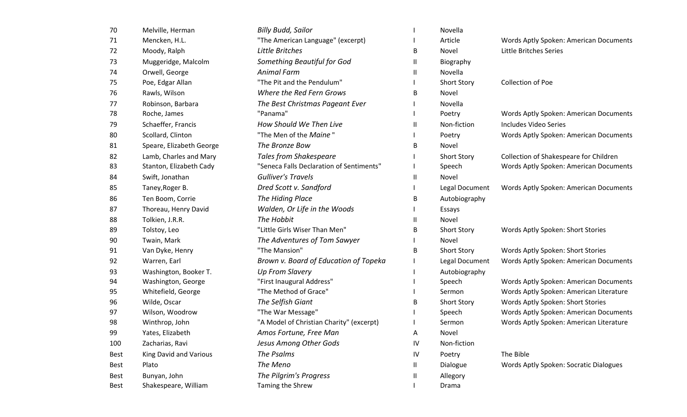| 70          | Melville, Herman              | <b>Billy Budd, Sailor</b>                |    | Novella            |                                         |
|-------------|-------------------------------|------------------------------------------|----|--------------------|-----------------------------------------|
| 71          | Mencken, H.L.                 | "The American Language" (excerpt)        |    | Article            | Words Aptly Spoken: American Documents  |
| 72          | Moody, Ralph                  | Little Britches                          | B  | Novel              | Little Britches Series                  |
| 73          | Muggeridge, Malcolm           | Something Beautiful for God              | Ш  | Biography          |                                         |
| 74          | Orwell, George                | <b>Animal Farm</b>                       | Ш  | Novella            |                                         |
| 75          | Poe, Edgar Allan              | "The Pit and the Pendulum"               |    | <b>Short Story</b> | <b>Collection of Poe</b>                |
| 76          | Rawls, Wilson                 | Where the Red Fern Grows                 | B  | Novel              |                                         |
| 77          | Robinson, Barbara             | The Best Christmas Pageant Ever          |    | Novella            |                                         |
| 78          | Roche, James                  | "Panama"                                 |    | Poetry             | Words Aptly Spoken: American Documents  |
| 79          | Schaeffer, Francis            | How Should We Then Live                  | Ш  | Non-fiction        | <b>Includes Video Series</b>            |
| 80          | Scollard, Clinton             | "The Men of the <i>Maine</i> "           |    | Poetry             | Words Aptly Spoken: American Documents  |
| 81          | Speare, Elizabeth George      | The Bronze Bow                           | B  | Novel              |                                         |
| 82          | Lamb, Charles and Mary        | <b>Tales from Shakespeare</b>            |    | <b>Short Story</b> | Collection of Shakespeare for Children  |
| 83          | Stanton, Elizabeth Cady       | "Seneca Falls Declaration of Sentiments" |    | Speech             | Words Aptly Spoken: American Documents  |
| 84          | Swift, Jonathan               | <b>Gulliver's Travels</b>                | Ш  | Novel              |                                         |
| 85          | Taney, Roger B.               | Dred Scott v. Sandford                   |    | Legal Document     | Words Aptly Spoken: American Documents  |
| 86          | Ten Boom, Corrie              | The Hiding Place                         | B  | Autobiography      |                                         |
| 87          | Thoreau, Henry David          | Walden, Or Life in the Woods             |    | Essays             |                                         |
| 88          | Tolkien, J.R.R.               | The Hobbit                               | Ш  | Novel              |                                         |
| 89          | Tolstoy, Leo                  | "Little Girls Wiser Than Men"            | B  | <b>Short Story</b> | Words Aptly Spoken: Short Stories       |
| 90          | Twain, Mark                   | The Adventures of Tom Sawyer             |    | Novel              |                                         |
| 91          | Van Dyke, Henry               | "The Mansion"                            | В  | <b>Short Story</b> | Words Aptly Spoken: Short Stories       |
| 92          | Warren, Earl                  | Brown v. Board of Education of Topeka    |    | Legal Document     | Words Aptly Spoken: American Documents  |
| 93          | Washington, Booker T.         | <b>Up From Slavery</b>                   |    | Autobiography      |                                         |
| 94          | Washington, George            | "First Inaugural Address"                |    | Speech             | Words Aptly Spoken: American Documents  |
| 95          | Whitefield, George            | "The Method of Grace"                    |    | Sermon             | Words Aptly Spoken: American Literature |
| 96          | Wilde, Oscar                  | The Selfish Giant                        | В  | <b>Short Story</b> | Words Aptly Spoken: Short Stories       |
| 97          | Wilson, Woodrow               | "The War Message"                        |    | Speech             | Words Aptly Spoken: American Documents  |
| 98          | Winthrop, John                | "A Model of Christian Charity" (excerpt) |    | Sermon             | Words Aptly Spoken: American Literature |
| 99          | Yates, Elizabeth              | Amos Fortune, Free Man                   | A  | Novel              |                                         |
| 100         | Zacharias, Ravi               | Jesus Among Other Gods                   | IV | Non-fiction        |                                         |
| <b>Best</b> | <b>King David and Various</b> | The Psalms                               | 1V | Poetry             | The Bible                               |
| Best        | Plato                         | The Meno                                 | Ш  | Dialogue           | Words Aptly Spoken: Socratic Dialogues  |
| Best        | Bunyan, John                  | The Pilgrim's Progress                   | Ш  | Allegory           |                                         |
| <b>Best</b> | Shakespeare, William          | Taming the Shrew                         |    | Drama              |                                         |